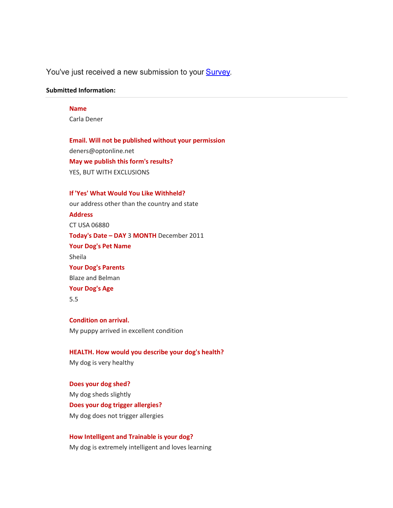# You've just received a new submission to your Survey.

#### **Submitted Information:**

### **Name**

Carla Dener

**Email. Will not be published without your permission** deners@optonline.net **May we publish this form's results?** YES, BUT WITH EXCLUSIONS

**If 'Yes' What Would You Like Withheld?**  our address other than the country and state **Address** CT USA 06880 **Today's Date – DAY** 3 **MONTH** December 2011 **Your Dog's Pet Name** Sheila **Your Dog's Parents**  Blaze and Belman **Your Dog's Age** 5.5

**Condition on arrival.** My puppy arrived in excellent condition

**HEALTH. How would you describe your dog's health?** My dog is very healthy

**Does your dog shed?** My dog sheds slightly **Does your dog trigger allergies?** My dog does not trigger allergies

**How Intelligent and Trainable is your dog?** My dog is extremely intelligent and loves learning